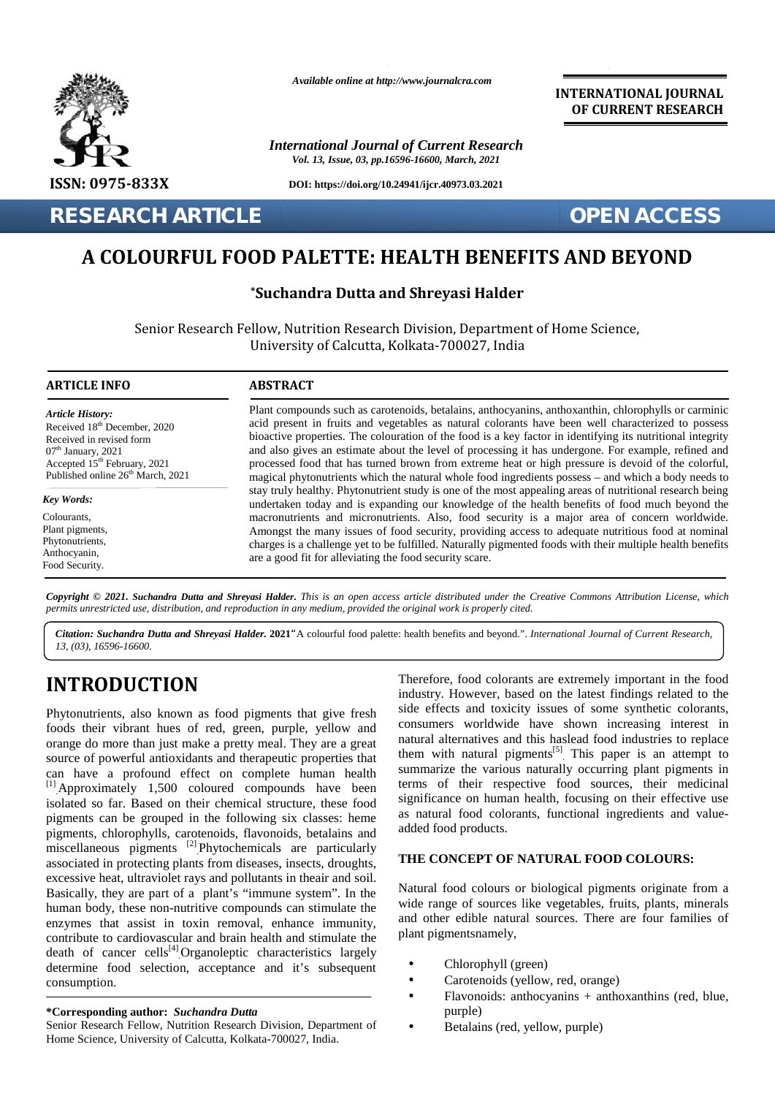

*Available online at http://www.journalcra.com*

*International Journal of Current Research Vol. 13, Issue, 03, pp.16596-16600, March, 2021*

**DOI: https://doi.org/10.24941/ijcr.40973.03.2021**

**RESEARCH ARTICLE OPEN ACCESS**

**OPEN ACCESS** 

**INTERNATIONAL JOURNAL OF CURRENT RESEARCH**

# **A COLOURFUL FOOD PALETTE: HEALTH BENEFITS AND BEYOND**

# **\*Suchandra Dutta and Shreyasi Halder**

Senior Research Fellow, Nutrition Research Division, Department of Home Science, Senior University ofUniversity of Calcutta, Kolkata-700027, India

| <b>ARTICLE INFO</b>                                                                                                                                                                                                                                                                                                                                                                                                                                                                                                                                                                                                                                                                                                                                                                                                                                                                                                                                                                                                                                                                                                                                                                                                                               | <b>ABSTRACT</b>                                                                                                                                                                                                                                                                                                                                                                                                                                                                                                                                                                                                                                                                                                                                                                                                                                                                                                                                                                                                                                                                                                                                                                                                                         |                                                                                                                                                                                                                                                                                                                                                                                                                                                                                                                                                                                                                                                                                                                                                                                                                                                                                                                                                                                                                           |
|---------------------------------------------------------------------------------------------------------------------------------------------------------------------------------------------------------------------------------------------------------------------------------------------------------------------------------------------------------------------------------------------------------------------------------------------------------------------------------------------------------------------------------------------------------------------------------------------------------------------------------------------------------------------------------------------------------------------------------------------------------------------------------------------------------------------------------------------------------------------------------------------------------------------------------------------------------------------------------------------------------------------------------------------------------------------------------------------------------------------------------------------------------------------------------------------------------------------------------------------------|-----------------------------------------------------------------------------------------------------------------------------------------------------------------------------------------------------------------------------------------------------------------------------------------------------------------------------------------------------------------------------------------------------------------------------------------------------------------------------------------------------------------------------------------------------------------------------------------------------------------------------------------------------------------------------------------------------------------------------------------------------------------------------------------------------------------------------------------------------------------------------------------------------------------------------------------------------------------------------------------------------------------------------------------------------------------------------------------------------------------------------------------------------------------------------------------------------------------------------------------|---------------------------------------------------------------------------------------------------------------------------------------------------------------------------------------------------------------------------------------------------------------------------------------------------------------------------------------------------------------------------------------------------------------------------------------------------------------------------------------------------------------------------------------------------------------------------------------------------------------------------------------------------------------------------------------------------------------------------------------------------------------------------------------------------------------------------------------------------------------------------------------------------------------------------------------------------------------------------------------------------------------------------|
| <b>Article History:</b><br>Received 18 <sup>th</sup> December, 2020<br>Received in revised form<br>$07th$ January, 2021<br>Accepted 15 <sup>th</sup> February, 2021<br>Published online 26 <sup>th</sup> March, 2021                                                                                                                                                                                                                                                                                                                                                                                                                                                                                                                                                                                                                                                                                                                                                                                                                                                                                                                                                                                                                              | Plant compounds such as carotenoids, betalains, anthocyanins, anthoxanthin, chlorophylls or carminic<br>acid present in fruits and vegetables as natural colorants have been well characterized to possess<br>bioactive properties. The colouration of the food is a key factor in identifying its nutritional integrity<br>and also gives an estimate about the level of processing it has undergone. For example, refined and<br>processed food that has turned brown from extreme heat or high pressure is devoid of the colorful,<br>magical phytonutrients which the natural whole food ingredients possess - and which a body needs to<br>stay truly healthy. Phytonutrient study is one of the most appealing areas of nutritional research being<br>undertaken today and is expanding our knowledge of the health benefits of food much beyond the<br>macronutrients and micronutrients. Also, food security is a major area of concern worldwide.<br>Amongst the many issues of food security, providing access to adequate nutritious food at nominal<br>charges is a challenge yet to be fulfilled. Naturally pigmented foods with their multiple health benefits<br>are a good fit for alleviating the food security scare. |                                                                                                                                                                                                                                                                                                                                                                                                                                                                                                                                                                                                                                                                                                                                                                                                                                                                                                                                                                                                                           |
| <b>Key Words:</b><br>Colourants,<br>Plant pigments,<br>Phytonutrients,<br>Anthocyanin,<br>Food Security.                                                                                                                                                                                                                                                                                                                                                                                                                                                                                                                                                                                                                                                                                                                                                                                                                                                                                                                                                                                                                                                                                                                                          |                                                                                                                                                                                                                                                                                                                                                                                                                                                                                                                                                                                                                                                                                                                                                                                                                                                                                                                                                                                                                                                                                                                                                                                                                                         |                                                                                                                                                                                                                                                                                                                                                                                                                                                                                                                                                                                                                                                                                                                                                                                                                                                                                                                                                                                                                           |
| permits unrestricted use, distribution, and reproduction in any medium, provided the original work is properly cited.<br>13, (03), 16596-16600.                                                                                                                                                                                                                                                                                                                                                                                                                                                                                                                                                                                                                                                                                                                                                                                                                                                                                                                                                                                                                                                                                                   |                                                                                                                                                                                                                                                                                                                                                                                                                                                                                                                                                                                                                                                                                                                                                                                                                                                                                                                                                                                                                                                                                                                                                                                                                                         | Copyright © 2021. Suchandra Dutta and Shreyasi Halder. This is an open access article distributed under the Creative Commons Attribution License, which<br>Citation: Suchandra Dutta and Shreyasi Halder. 2021 "A colourful food palette: health benefits and beyond.". International Journal of Current Research,                                                                                                                                                                                                                                                                                                                                                                                                                                                                                                                                                                                                                                                                                                        |
| <b>INTRODUCTION</b><br>Phytonutrients, also known as food pigments that give fresh<br>foods their vibrant hues of red, green, purple, yellow and<br>orange do more than just make a pretty meal. They are a great<br>source of powerful antioxidants and therapeutic properties that<br>can have a profound effect on complete human health<br>[1] Approximately 1,500 coloured compounds have been<br>isolated so far. Based on their chemical structure, these food<br>pigments can be grouped in the following six classes: heme<br>pigments, chlorophylls, carotenoids, flavonoids, betalains and<br>miscellaneous pigments <sup>[2]</sup> Phytochemicals are particularly<br>associated in protecting plants from diseases, insects, droughts,<br>excessive heat, ultraviolet rays and pollutants in theair and soil.<br>Basically, they are part of a plant's "immune system". In the<br>human body, these non-nutritive compounds can stimulate the<br>enzymes that assist in toxin removal, enhance immunity,<br>contribute to cardiovascular and brain health and stimulate the<br>death of cancer cells <sup>[4]</sup> Organoleptic characteristics largely<br>determine food selection, acceptance and it's subsequent<br>consumption. |                                                                                                                                                                                                                                                                                                                                                                                                                                                                                                                                                                                                                                                                                                                                                                                                                                                                                                                                                                                                                                                                                                                                                                                                                                         | Therefore, food colorants are extremely important in the food<br>industry. However, based on the latest findings related to the<br>side effects and toxicity issues of some synthetic colorants,<br>consumers worldwide have shown increasing interest in<br>natural alternatives and this haslead food industries to replace<br>them with natural pigments <sup>[5]</sup> This paper is an attempt to<br>summarize the various naturally occurring plant pigments in<br>terms of their respective food sources, their medicinal<br>significance on human health, focusing on their effective use<br>as natural food colorants, functional ingredients and value-<br>added food products.<br>THE CONCEPT OF NATURAL FOOD COLOURS:<br>Natural food colours or biological pigments originate from a<br>wide range of sources like vegetables, fruits, plants, minerals<br>and other edible natural sources. There are four families of<br>plant pigmentsnamely,<br>Chlorophyll (green)<br>Carotenoids (yellow, red, orange) |
| <i>*Corresponding author: Suchandra Dutta</i><br>Senior Research Fellow, Nutrition Research Division, Department of<br>Home Science, University of Calcutta, Kolkata-700027, India.                                                                                                                                                                                                                                                                                                                                                                                                                                                                                                                                                                                                                                                                                                                                                                                                                                                                                                                                                                                                                                                               |                                                                                                                                                                                                                                                                                                                                                                                                                                                                                                                                                                                                                                                                                                                                                                                                                                                                                                                                                                                                                                                                                                                                                                                                                                         | Flavonoids: anthocyanins + anthoxanthins (red, blue,<br>purple)<br>Betalains (red, yellow, purple)                                                                                                                                                                                                                                                                                                                                                                                                                                                                                                                                                                                                                                                                                                                                                                                                                                                                                                                        |

# **INTRODUCTION INTRODUCTION**

#### **\*Corresponding author:** *Suchandra Dutta* **\*Corresponding**

# **THE CONCEPT OF NATURAL FOOD COLOURS:**

- Chlorophyll (green)
- | Carotenoids (yellow, red, orange)<br>| Flavonoids: anthocyanins + antho
	- Flavonoids: anthocyanins + anthoxanthins (red, blue, purple)
- Betalains (red, yellow, purple)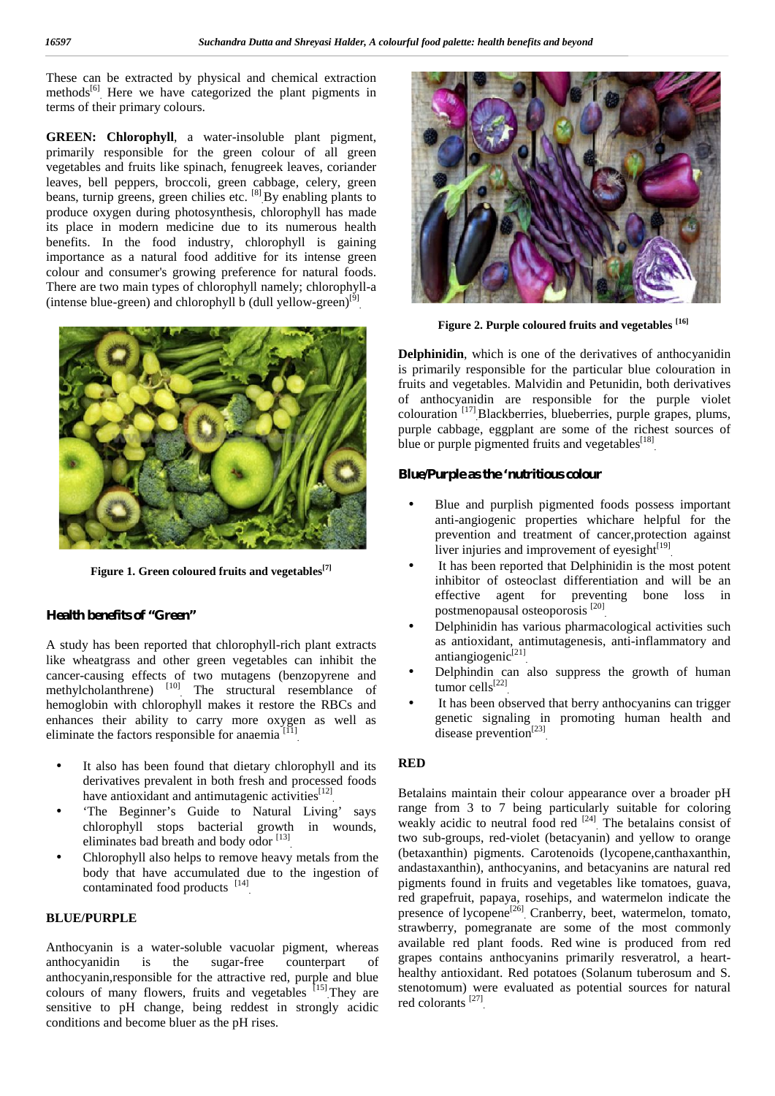These can be extracted by physical and chemical extraction methods<sup>[6]</sup> Here we have categorized the plant pigments in terms of their primary colours.

**GREEN: Chlorophyll**, a water-insoluble plant pigment, primarily responsible for the green colour of all green vegetables and fruits like spinach, fenugreek leaves, coriander leaves, bell peppers, broccoli, green cabbage, celery, green beans, turnip greens, green chilies etc.  $^{[8]}$  By enabling plants to produce oxygen during photosynthesis, chlorophyll has made its place in modern medicine due to its numerous health benefits. In the food industry, chlorophyll is gaining importance as a natural food additive for its intense green colour and consumer's growing preference for natural foods. There are two main types of chlorophyll namely; chlorophyll-a (intense blue-green) and chlorophyll b (dull yellow-green)<sup>[9]</sup> .



**Figure 1. Green coloured fruits and vegetables[7]**

# **Health benefits of "Green"**

A study has been reported that chlorophyll-rich plant extracts like wheatgrass and other green vegetables can inhibit the cancer-causing effects of two mutagens (benzopyrene and methylcholanthrene) <sup>[10]</sup> The structural resemblance of hemoglobin with chlorophyll makes it restore the RBCs and enhances their ability to carry more oxygen as well as eliminate the factors responsible for anaemia  $[<sup>[1]</sup>]$ 

- It also has been found that dietary chlorophyll and its derivatives prevalent in both fresh and processed foods have antioxidant and antimutagenic activities<sup>[12]</sup>
- 'The Beginner's Guide to Natural Living' says chlorophyll stops bacterial growth in wounds, eliminates bad breath and body odor [13]
- Chlorophyll also helps to remove heavy metals from the body that have accumulated due to the ingestion of contaminated food products <sup>[14]</sup>

# **BLUE/PURPLE**

Anthocyanin is a water-soluble vacuolar pigment, whereas<br>anthocyanidin is the sugar-free counterpart of anthocyanidin is the sugar-free counterpart of anthocyanin,responsible for the attractive red, purple and blue colours of many flowers, fruits and vegetables  $[15]$  They are stem sensitive to pH change, being reddest in strongly acidic conditions and become bluer as the pH rises.



**Figure 2. Purple coloured fruits and vegetables [16]**

**Delphinidin**, which is one of the derivatives of anthocyanidin is primarily responsible for the particular blue colouration in fruits and vegetables. Malvidin and Petunidin, both derivatives of anthocyanidin are responsible for the purple violet colouration [17] .Blackberries, blueberries, purple grapes, plums, purple cabbage, eggplant are some of the richest sources of blue or purple pigmented fruits and vegetables<sup>[18]</sup>

#### **Blue/Purple as the 'nutritious colour**

- Blue and purplish pigmented foods possess important anti-angiogenic properties whichare helpful for the prevention and treatment of cancer,protection against liver injuries and improvement of eyesight $[19]$ .
- It has been reported that Delphinidin is the most potent inhibitor of osteoclast differentiation and will be an effective agent for preventing bone loss in postmenopausal osteoporosis [20] .
- Delphinidin has various pharmacological activities such as antioxidant, antimutagenesis, anti-inflammatory and antiangiogenic<sup>[21]</sup>
- Delphindin can also suppress the growth of human  $\mu$  tumor cells<sup>[22]</sup>
- It has been observed that berry anthocyanins can trigger genetic signaling in promoting human health and disease prevention<sup>[23]</sup>

### **RED**

Betalains maintain their colour appearance over a broader pH range from 3 to 7 being particularly suitable for coloring weakly acidic to neutral food red  $[24]$ . The betalains consist of two sub-groups, red-violet (betacyanin) and yellow to orange (betaxanthin) pigments. Carotenoids (lycopene,canthaxanthin, andastaxanthin), anthocyanins, and betacyanins are natural red pigments found in fruits and vegetables like tomatoes, guava, red grapefruit, papaya, rosehips, and watermelon indicate the presence of lycopene<sup>[26]</sup> Cranberry, beet, watermelon, tomato, strawberry, pomegranate are some of the most commonly available red plant foods. Red wine is produced from red grapes contains anthocyanins primarily resveratrol, a heart healthy antioxidant. Red potatoes (Solanum tuberosum and S. stenotomum) were evaluated as potential sources for natural red colorants [27] .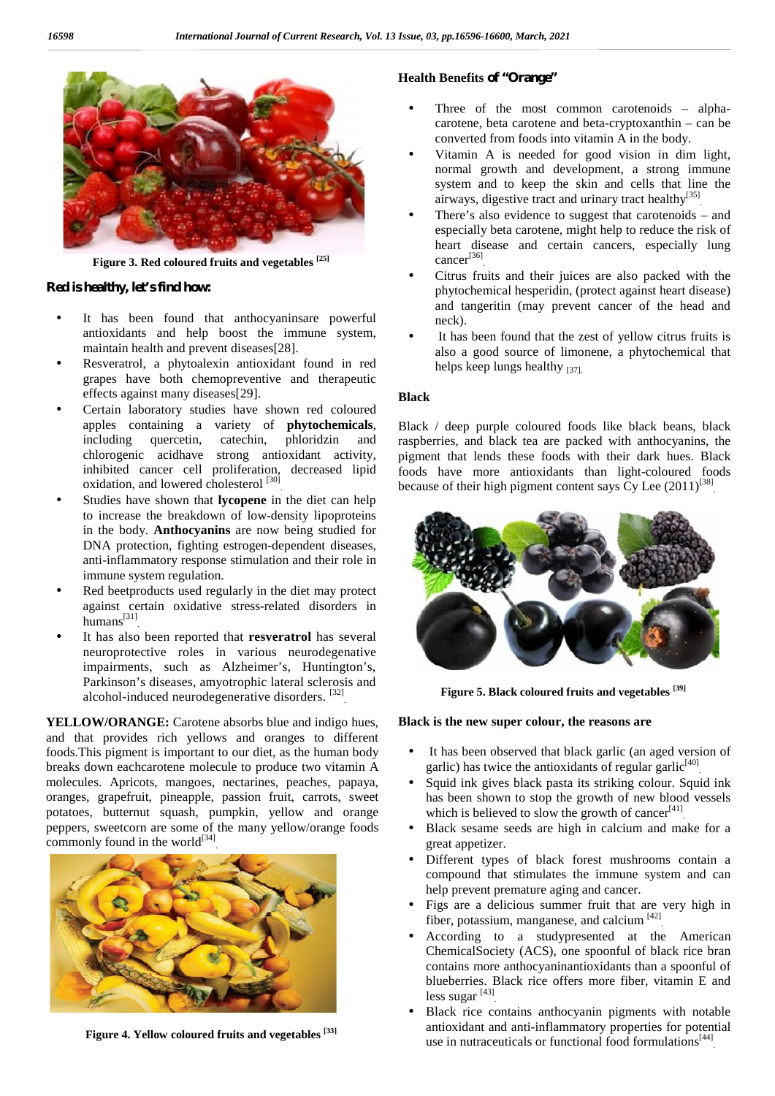

**Figure 3. Red coloured fruits and vegetables [25]**

## **Red is healthy, let's find how:**

- It has been found that anthocyaninsare powerful antioxidants and help boost the immune system, maintain health and prevent diseases[28].
- Resveratrol, a phytoalexin antioxidant found in red grapes have both chemopreventive and therapeutic effects against many diseases[29].
- Certain laboratory studies have shown red coloured apples containing a variety of **phytochemicals**, including quercetin, catechin, phloridzin and including quercetin, catechin, phloridzin and chlorogenic acidhave strong antioxidant activity, inhibited cancer cell proliferation, decreased lipid oxidation, and lowered cholesterol<sup>[30]</sup> .
- Studies have shown that **lycopene** in the diet can help to increase the breakdown of low-density lipoproteins in the body. **Anthocyanins** are now being studied for DNA protection, fighting estrogen-dependent diseases, anti-inflammatory response stimulation and their role in immune system regulation.
- Red beetproducts used regularly in the diet may protect against certain oxidative stress-related disorders in humans $^{[31]}$ .
- It has also been reported that **resveratrol** has several neuroprotective roles in various neurodegenative impairments, such as Alzheimer's, Huntington's, Parkinson's diseases, amyotrophic lateral sclerosis and alcohol-induced neurodegenerative disorders. [32]

**YELLOW/ORANGE:** Carotene absorbs blue and indigo hues, and that provides rich yellows and oranges to different foods.This pigment is important to our diet, as the human body breaks down eachcarotene molecule to produce two vitamin A molecules. Apricots, mangoes, nectarines, peaches, papaya, oranges, grapefruit, pineapple, passion fruit, carrots, sweet potatoes, butternut squash, pumpkin, yellow and orange peppers, sweetcorn are some of the many yellow/orange foods commonly found in the world $[34]$ .



**Figure 4. Yellow coloured fruits and vegetables [33]**

# **Health Benefits of "Orange"**

- Three of the most common carotenoids alpha carotene, beta carotene and beta-cryptoxanthin – can be converted from foods into vitamin A in the body.
- Vitamin A is needed for good vision in dim light, normal growth and development, a strong immune system and to keep the skin and cells that line the airways, digestive tract and urinary tract healthy<sup>[35]</sup> .
- There's also evidence to suggest that carotenoids and especially beta carotene, might help to reduce the risk of heart disease and certain cancers, especially lung cance $r^{[36]}$ .
- Citrus fruits and their juices are also packed with the phytochemical hesperidin, (protect against heart disease) and tangeritin (may prevent cancer of the head and neck).
- It has been found that the zest of yellow citrus fruits is also a good source of limonene, a phytochemical that helps keep lungs healthy [37].

# **Black**

Black / deep purple coloured foods like black beans, black raspberries, and black tea are packed with anthocyanins, the pigment that lends these foods with their dark hues. Black foods have more antioxidants than light-coloured foods because of their high pigment content says  $Cy$  Lee  $(2011)^{[38]}$ .



**Figure 5. Black coloured fruits and vegetables [39]**

# **Black is the new super colour, the reasons are**

- It has been observed that black garlic (an aged version of garlic) has twice the antioxidants of regular garlic<sup>[40]</sup>.
- Squid ink gives black pasta its striking colour. Squid ink has been shown to stop the growth of new blood vessels which is believed to slow the growth of cancer $[41]$ .
- Black sesame seeds are high in calcium and make for a great appetizer.
- Different types of black forest mushrooms contain a compound that stimulates the immune system and can help prevent premature aging and cancer.
- Figs are a delicious summer fruit that are very high in fiber, potassium, manganese, and calcium<sup>[42]</sup>
- According to a studypresented at the American ChemicalSociety (ACS), one spoonful of black rice bran contains more anthocyaninantioxidants than a spoonful of blueberries. Black rice offers more fiber, vitamin E and less sugar [43] .
- Black rice contains anthocyanin pigments with notable antioxidant and anti-inflammatory properties for potential use in nutraceuticals or functional food formulations<sup>[44]</sup>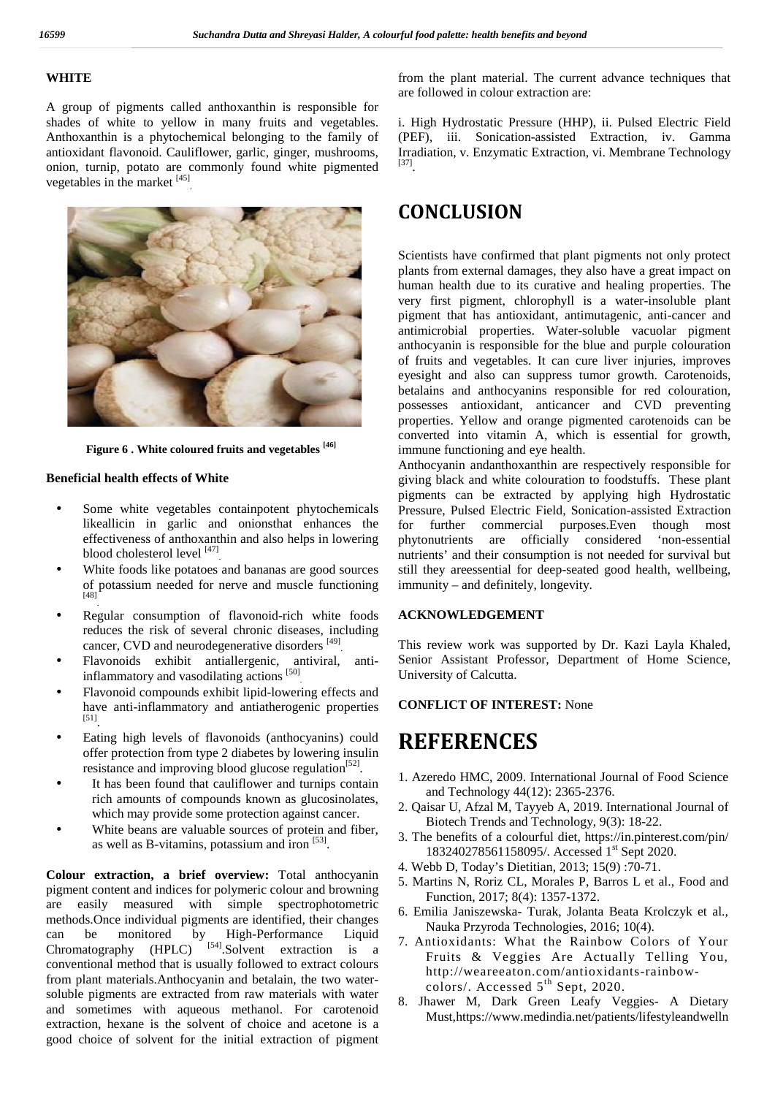# **WHITE**

A group of pigments called anthoxanthin is responsible for shades of white to yellow in many fruits and vegetables. Anthoxanthin is a phytochemical belonging to the family of antioxidant flavonoid. Cauliflower, garlic, ginger, mushrooms, onion, turnip, potato are commonly found white pigmented vegetables in the market  $^{[45]}$ .



**Figure 6 . White coloured fruits and vegetables [46]**

#### **Beneficial health effects of White**

- Some white vegetables containpotent phytochemicals likeallicin in garlic and onionsthat enhances the effectiveness of anthoxanthin and also helps in lowering blood cholesterol level  $^{[47]}$ .
- White foods like potatoes and bananas are good sources of potassium needed for nerve and muscle functioning  $[48]$ <sup>-</sup> .
- Regular consumption of flavonoid-rich white foods reduces the risk of several chronic diseases, including cancer, CVD and neurodegenerative disorders <sup>[49]</sup>.
- Flavonoids exhibit antiallergenic, antiviral, antiinflammatory and vasodilating actions [50] .
- Flavonoid compounds exhibit lipid-lowering effects and have anti-inflammatory and antiatherogenic properties [51].
- Eating high levels of flavonoids (anthocyanins) could offer protection from type 2 diabetes by lowering insulin resistance and improving blood glucose regulation<sup>[52]</sup>.
- It has been found that cauliflower and turnips contain rich amounts of compounds known as glucosinolates, which may provide some protection against cancer.
- White beans are valuable sources of protein and fiber, as well as B-vitamins, potassium and iron  $[53]$ .

**Colour extraction, a brief overview:** Total anthocyanin pigment content and indices for polymeric colour and browning are easily measured with simple spectrophotometric methods.Once individual pigments are identified, their changes can be monitored by High-Performance Liquid Chromatography (HPLC)  $\int$ <sup>[54]</sup>.Solvent extraction is a conventional method that is usually followed to extract colours from plant materials.Anthocyanin and betalain, the two water soluble pigments are extracted from raw materials with water and sometimes with aqueous methanol. For carotenoid extraction, hexane is the solvent of choice and acetone is a good choice of solvent for the initial extraction of pigment

from the plant material. The current advance techniques that are followed in colour extraction are:

i. High Hydrostatic Pressure (HHP), ii. Pulsed Electric Field (PEF), iii. Sonication-assisted Extraction, iv. Gamma Irradiation, v. Enzymatic Extraction, vi. Membrane Technology [37].

# **CONCLUSION**

Scientists have confirmed that plant pigments not only protect plants from external damages, they also have a great impact on human health due to its curative and healing properties. The very first pigment, chlorophyll is a water-insoluble plant pigment that has antioxidant, antimutagenic, anti-cancer and antimicrobial properties. Water-soluble vacuolar pigment anthocyanin is responsible for the blue and purple colouration of fruits and vegetables. It can cure liver injuries, improves eyesight and also can suppress tumor growth. Carotenoids, betalains and anthocyanins responsible for red colouration, possesses antioxidant, anticancer and CVD preventing properties. Yellow and orange pigmented carotenoids can be converted into vitamin A, which is essential for growth, immune functioning and eye health.

Anthocyanin andanthoxanthin are respectively responsible for giving black and white colouration to foodstuffs. These plant pigments can be extracted by applying high Hydrostatic Pressure, Pulsed Electric Field, Sonication-assisted Extraction for further commercial purposes.Even though most phytonutrients are officially considered 'non-essential nutrients' and their consumption is not needed for survival but still they areessential for deep-seated good health, wellbeing, immunity – and definitely, longevity.

## **ACKNOWLEDGEMENT**

This review work was supported by Dr. Kazi Layla Khaled, Senior Assistant Professor, Department of Home Science, University of Calcutta.

# **CONFLICT OF INTEREST:** None

# **REFERENCES**

- 1. Azeredo HMC, 2009. International Journal of Food Science and Technology 44(12): 2365-2376.
- 2. Qaisar U, Afzal M, Tayyeb A, 2019. International Journal of Biotech Trends and Technology, 9(3): 18-22.
- 3. The benefits of a colourful diet, https://in.pinterest.com/pin/ 183240278561158095/. Accessed 1<sup>st</sup> Sept 2020.
- 4. Webb D, Today's Dietitian, 2013; 15(9) :70-71.
- 5. Martins N, Roriz CL, Morales P, Barros L et al., Food and Function, 2017; 8(4): 1357-1372.
- 6. Emilia Janiszewska- Turak, Jolanta Beata Krolczyk et al., Nauka Przyroda Technologies, 2016; 10(4).
- 7. Antioxidants: What the Rainbow Colors of Your Fruits & Veggies Are Actually Telling You, http://weareeaton.com/antioxidants-rainbow colors/. Accessed  $5<sup>th</sup>$  Sept, 2020.
- 8. Jhawer M, Dark Green Leafy Veggies- A Dietary Must,https://www.medindia.net/patients/lifestyleandwelln